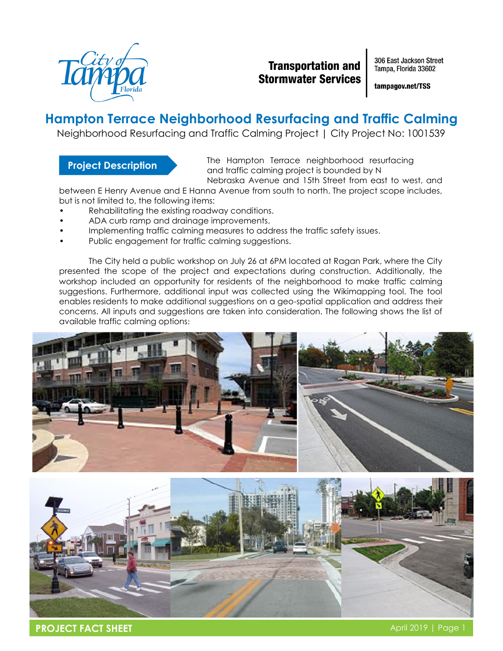

### **Transportation and Stormwater Services**

306 East Jackson Street Tampa, Florida 33602

tampagov.net/TSS

# **Hampton Terrace Neighborhood Resurfacing and Traffic Calming**

Neighborhood Resurfacing and Traffic Calming Project | City Project No: 1001539

#### **Project Description**

The Hampton Terrace neighborhood resurfacing and traffic calming project is bounded by N Nebraska Avenue and 15th Street from east to west, and

between E Henry Avenue and E Hanna Avenue from south to north. The project scope includes, but is not limited to, the following items:

- Rehabilitating the existing roadway conditions.
- ADA curb ramp and drainage improvements.
- Implementing traffic calming measures to address the traffic safety issues.
- Public engagement for traffic calming suggestions.

The City held a public workshop on July 26 at 6PM located at Ragan Park, where the City presented the scope of the project and expectations during construction. Additionally, the workshop included an opportunity for residents of the neighborhood to make traffic calming suggestions. Furthermore, additional input was collected using the Wikimapping tool. The tool enables residents to make additional suggestions on a geo-spatial application and address their concerns. All inputs and suggestions are taken into consideration. The following shows the list of available traffic calming options: